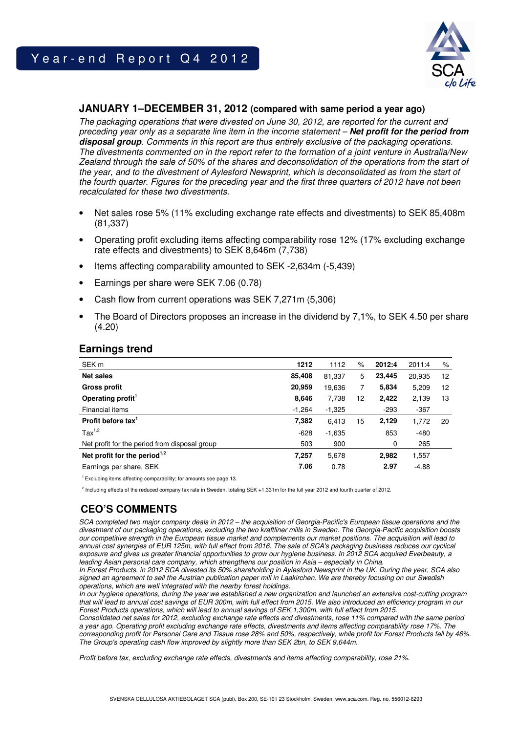# Year-end Report Q4 2012



### **JANUARY 1–DECEMBER 31, 2012 (compared with same period a year ago)**

The packaging operations that were divested on June 30, 2012, are reported for the current and preceding year only as a separate line item in the income statement – **Net profit for the period from disposal group**. Comments in this report are thus entirely exclusive of the packaging operations. The divestments commented on in the report refer to the formation of a joint venture in Australia/New Zealand through the sale of 50% of the shares and deconsolidation of the operations from the start of the year, and to the divestment of Aylesford Newsprint, which is deconsolidated as from the start of the fourth quarter. Figures for the preceding year and the first three quarters of 2012 have not been recalculated for these two divestments.

- Net sales rose 5% (11% excluding exchange rate effects and divestments) to SEK 85,408m (81,337)
- Operating profit excluding items affecting comparability rose 12% (17% excluding exchange rate effects and divestments) to SEK 8,646m (7,738)
- Items affecting comparability amounted to SEK -2,634m (-5,439)
- Earnings per share were SEK 7.06 (0.78)
- Cash flow from current operations was SEK 7,271m (5,306)
- The Board of Directors proposes an increase in the dividend by 7,1%, to SEK 4.50 per share (4.20)

| ∟arnınqs trend                 |          |          |    |        |        |      |
|--------------------------------|----------|----------|----|--------|--------|------|
| SEK <sub>m</sub>               | 1212     | 1112     | %  | 2012:4 | 2011:4 | $\%$ |
| <b>Net sales</b>               | 85,408   | 81,337   | 5  | 23,445 | 20,935 | 12   |
| <b>Gross profit</b>            | 20.959   | 19,636   |    | 5.834  | 5,209  | 12   |
| Operating profit <sup>1</sup>  | 8,646    | 7.738    | 12 | 2,422  | 2,139  | 13   |
| Financial items                | $-1,264$ | $-1,325$ |    | -293   | $-367$ |      |
| Profit before tax <sup>1</sup> | 7,382    | 6.413    | 15 | 2,129  | 1.772  | 20   |
| Tax <sup>1,2</sup>             | $-628$   | $-1,635$ |    | 853    | $-480$ |      |

## **Earnings trend**

<sup>1</sup>Excluding items affecting comparability; for amounts see page 13.

<sup>2</sup> Including effects of the reduced company tax rate in Sweden, totaling SEK +1,331m for the full year 2012 and fourth quarter of 2012.

Net profit for the period from disposal group 503 900 0 265 **Net profit for the period1,2 7,257** 5,678 **2,982** 1,557 Earnings per share, SEK **7.06** 0.78 **2.97** -4.88

## **CEO'S COMMENTS**

SCA completed two major company deals in 2012 – the acquisition of Georgia-Pacific's European tissue operations and the divestment of our packaging operations, excluding the two kraftliner mills in Sweden. The Georgia-Pacific acquisition boosts our competitive strength in the European tissue market and complements our market positions. The acquisition will lead to annual cost synergies of EUR 125m, with full effect from 2016. The sale of SCA's packaging business reduces our cyclical exposure and gives us greater financial opportunities to grow our hygiene business. In 2012 SCA acquired Everbeauty, a leading Asian personal care company, which strengthens our position in Asia – especially in China.

In Forest Products, in 2012 SCA divested its 50% shareholding in Aylesford Newsprint in the UK. During the year, SCA also signed an agreement to sell the Austrian publication paper mill in Laakirchen. We are thereby focusing on our Swedish operations, which are well integrated with the nearby forest holdings.

In our hygiene operations, during the year we established a new organization and launched an extensive cost-cutting program that will lead to annual cost savings of EUR 300m, with full effect from 2015. We also introduced an efficiency program in our Forest Products operations, which will lead to annual savings of SEK 1,300m, with full effect from 2015.

Consolidated net sales for 2012, excluding exchange rate effects and divestments, rose 11% compared with the same period a year ago. Operating profit excluding exchange rate effects, divestments and items affecting comparability rose 17%. The corresponding profit for Personal Care and Tissue rose 28% and 50%, respectively, while profit for Forest Products fell by 46%. The Group's operating cash flow improved by slightly more than SEK 2bn, to SEK 9,644m.

Profit before tax, excluding exchange rate effects, divestments and items affecting comparability, rose 21%.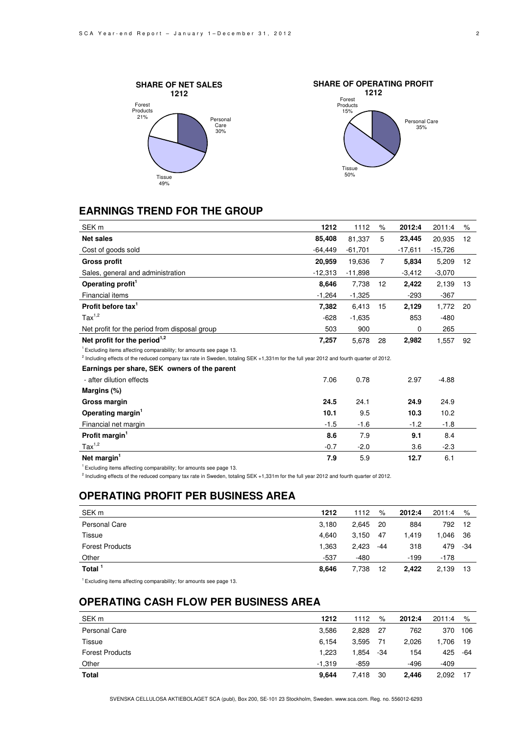





## **EARNINGS TREND FOR THE GROUP**

| SEK <sub>m</sub>                                                                                                                                  | 1212      | 1112      | $\%$              | 2012:4    | 2011:4    | ℅               |
|---------------------------------------------------------------------------------------------------------------------------------------------------|-----------|-----------|-------------------|-----------|-----------|-----------------|
| <b>Net sales</b>                                                                                                                                  | 85,408    | 81,337    | 5                 | 23,445    | 20,935    | 12 <sup>2</sup> |
| Cost of goods sold                                                                                                                                | -64,449   | $-61,701$ |                   | $-17,611$ | $-15,726$ |                 |
| <b>Gross profit</b>                                                                                                                               | 20,959    | 19,636    | $\overline{7}$    | 5,834     | 5,209     | 12 <sup>2</sup> |
| Sales, general and administration                                                                                                                 | $-12,313$ | $-11,898$ |                   | $-3,412$  | $-3,070$  |                 |
| Operating profit <sup>1</sup>                                                                                                                     | 8,646     | 7,738     | $12 \overline{ }$ | 2,422     | 2,139     | 13              |
| Financial items                                                                                                                                   | $-1,264$  | $-1,325$  |                   | $-293$    | $-367$    |                 |
| Profit before tax $1$                                                                                                                             | 7,382     | 6,413     | 15                | 2,129     | 1,772     | 20              |
| $\text{Tax}^{1,2}$                                                                                                                                | $-628$    | $-1,635$  |                   | 853       | $-480$    |                 |
| Net profit for the period from disposal group                                                                                                     | 503       | 900       |                   | 0         | 265       |                 |
| Net profit for the period $1,2$                                                                                                                   | 7,257     | 5,678     | 28                | 2,982     | 1,557     | 92              |
| <sup>1</sup> Excluding items affecting comparability; for amounts see page 13.                                                                    |           |           |                   |           |           |                 |
| <sup>2</sup> Including effects of the reduced company tax rate in Sweden, totaling SEK +1,331m for the full year 2012 and fourth quarter of 2012. |           |           |                   |           |           |                 |
| Earnings per share, SEK owners of the parent                                                                                                      |           |           |                   |           |           |                 |
| - after dilution effects                                                                                                                          | 7.06      | 0.78      |                   | 2.97      | $-4.88$   |                 |
| Margins (%)                                                                                                                                       |           |           |                   |           |           |                 |
| Gross margin                                                                                                                                      | 24.5      | 24.1      |                   | 24.9      | 24.9      |                 |
| Operating margin <sup>1</sup>                                                                                                                     | 10.1      | 9.5       |                   | 10.3      | 10.2      |                 |
| Financial net margin                                                                                                                              | $-1.5$    | $-1.6$    |                   | $-1.2$    | $-1.8$    |                 |
| Profit margin <sup>1</sup>                                                                                                                        | 8.6       | 7.9       |                   | 9.1       | 8.4       |                 |
| $\text{Tax}^{1,2}$                                                                                                                                | $-0.7$    | $-2.0$    |                   | 3.6       | $-2.3$    |                 |
| Net margin <sup>1</sup>                                                                                                                           | 7.9       | 5.9       |                   | 12.7      | 6.1       |                 |

 $1$  Excluding items affecting comparability; for amounts see page 13.

<sup>2</sup> Including effects of the reduced company tax rate in Sweden, totaling SEK +1,331m for the full year 2012 and fourth quarter of 2012.

## **OPERATING PROFIT PER BUSINESS AREA**

| SEK <sub>m</sub>       | 1212   | 1112   | %   | 2012:4 | 2011:4 | %   |
|------------------------|--------|--------|-----|--------|--------|-----|
| Personal Care          | 3,180  | 2,645  | 20  | 884    | 792    | -12 |
| Tissue                 | 4.640  | 3,150  | 47  | 1.419  | .046   | -36 |
| <b>Forest Products</b> | 1,363  | 2,423  | -44 | 318    | 479    | -34 |
| Other                  | $-537$ | $-480$ |     | $-199$ | $-178$ |     |
| Total <sup>1</sup>     | 8.646  | 7,738  | 12  | 2.422  | 2,139  | 13  |

 $1$  Excluding items affecting comparability; for amounts see page 13.

## **OPERATING CASH FLOW PER BUSINESS AREA**

| SEK <sub>m</sub>       | 1212     | 1112   | %   | 2012:4 | 2011:4 | %   |
|------------------------|----------|--------|-----|--------|--------|-----|
| Personal Care          | 3.586    | 2.828  | -27 | 762    | 370    | 106 |
| Tissue                 | 6.154    | 3.595  | -71 | 2,026  | 1.706  | -19 |
| <b>Forest Products</b> | 1,223    | 1.854  | -34 | 154    | 425    | -64 |
| Other                  | $-1.319$ | $-859$ |     | $-496$ | -409   |     |
| Total                  | 9.644    | 7.418  | 30  | 2.446  | 2,092  | 17  |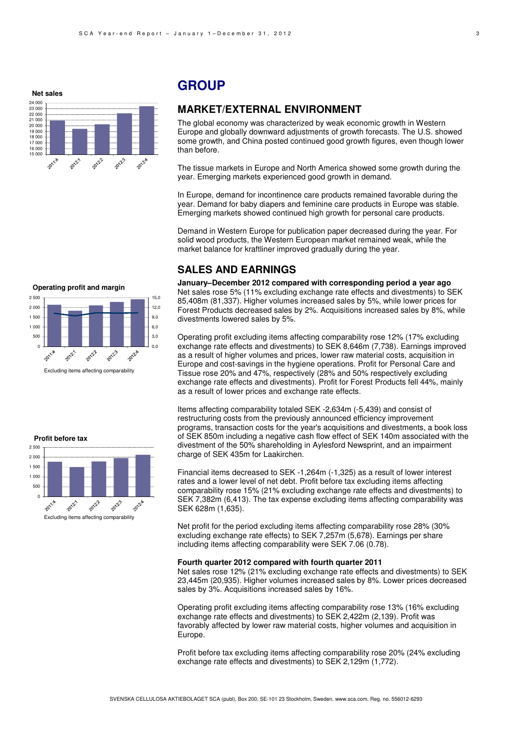**Net sales**



## **GROUP**

### **MARKET/EXTERNAL ENVIRONMENT**

The global economy was characterized by weak economic growth in Western Europe and globally downward adjustments of growth forecasts. The U.S. showed some growth, and China posted continued good growth figures, even though lower than before.

The tissue markets in Europe and North America showed some growth during the year. Emerging markets experienced good growth in demand.

In Europe, demand for incontinence care products remained favorable during the year. Demand for baby diapers and feminine care products in Europe was stable. Emerging markets showed continued high growth for personal care products.

Demand in Western Europe for publication paper decreased during the year. For solid wood products, the Western European market remained weak, while the market balance for kraftliner improved gradually during the year.

#### **SALES AND EARNINGS**

**January–December 2012 compared with corresponding period a year ago**  Net sales rose 5% (11% excluding exchange rate effects and divestments) to SEK 85,408m (81,337). Higher volumes increased sales by 5%, while lower prices for Forest Products decreased sales by 2%. Acquisitions increased sales by 8%, while divestments lowered sales by 5%.

Operating profit excluding items affecting comparability rose 12% (17% excluding exchange rate effects and divestments) to SEK 8,646m (7,738). Earnings improved as a result of higher volumes and prices, lower raw material costs, acquisition in Europe and cost-savings in the hygiene operations. Profit for Personal Care and Tissue rose 20% and 47%, respectively (28% and 50% respectively excluding exchange rate effects and divestments). Profit for Forest Products fell 44%, mainly as a result of lower prices and exchange rate effects.

Items affecting comparability totaled SEK -2,634m (-5,439) and consist of restructuring costs from the previously announced efficiency improvement programs, transaction costs for the year's acquisitions and divestments, a book loss of SEK 850m including a negative cash flow effect of SEK 140m associated with the divestment of the 50% shareholding in Aylesford Newsprint, and an impairment charge of SEK 435m for Laakirchen.

Financial items decreased to SEK -1,264m (-1,325) as a result of lower interest rates and a lower level of net debt. Profit before tax excluding items affecting comparability rose 15% (21% excluding exchange rate effects and divestments) to SEK 7,382m (6,413). The tax expense excluding items affecting comparability was SEK 628m (1,635).

Net profit for the period excluding items affecting comparability rose 28% (30% excluding exchange rate effects) to SEK 7,257m (5,678). Earnings per share including items affecting comparability were SEK 7.06 (0.78).

#### **Fourth quarter 2012 compared with fourth quarter 2011**

Net sales rose 12% (21% excluding exchange rate effects and divestments) to SEK 23,445m (20,935). Higher volumes increased sales by 8%. Lower prices decreased sales by 3%. Acquisitions increased sales by 16%.

Operating profit excluding items affecting comparability rose 13% (16% excluding exchange rate effects and divestments) to SEK 2,422m (2,139). Profit was favorably affected by lower raw material costs, higher volumes and acquisition in Europe.

Profit before tax excluding items affecting comparability rose 20% (24% excluding exchange rate effects and divestments) to SEK 2,129m (1,772).



Excluding items affecting comparability

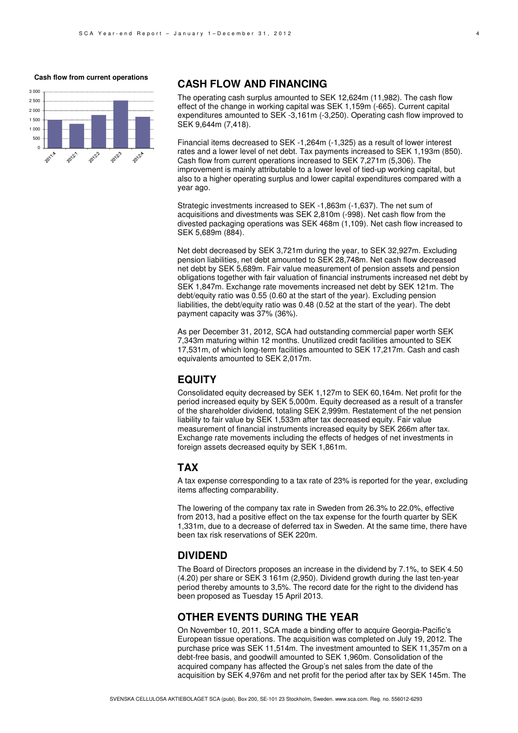#### **Cash flow from current operations**



### **CASH FLOW AND FINANCING**

The operating cash surplus amounted to SEK 12,624m (11,982). The cash flow effect of the change in working capital was SEK 1,159m (-665). Current capital expenditures amounted to SEK -3,161m (-3,250). Operating cash flow improved to SEK 9,644m (7,418).

Financial items decreased to SEK -1,264m (-1,325) as a result of lower interest rates and a lower level of net debt. Tax payments increased to SEK 1,193m (850). Cash flow from current operations increased to SEK 7,271m (5,306). The improvement is mainly attributable to a lower level of tied-up working capital, but also to a higher operating surplus and lower capital expenditures compared with a year ago.

Strategic investments increased to SEK -1,863m (-1,637). The net sum of acquisitions and divestments was SEK 2,810m (-998). Net cash flow from the divested packaging operations was SEK 468m (1,109). Net cash flow increased to SEK 5,689m (884).

Net debt decreased by SEK 3,721m during the year, to SEK 32,927m. Excluding pension liabilities, net debt amounted to SEK 28,748m. Net cash flow decreased net debt by SEK 5,689m. Fair value measurement of pension assets and pension obligations together with fair valuation of financial instruments increased net debt by SEK 1,847m. Exchange rate movements increased net debt by SEK 121m. The debt/equity ratio was 0.55 (0.60 at the start of the year). Excluding pension liabilities, the debt/equity ratio was 0.48 (0.52 at the start of the year). The debt payment capacity was 37% (36%).

As per December 31, 2012, SCA had outstanding commercial paper worth SEK 7,343m maturing within 12 months. Unutilized credit facilities amounted to SEK 17,531m, of which long-term facilities amounted to SEK 17,217m. Cash and cash equivalents amounted to SEK 2,017m.

## **EQUITY**

Consolidated equity decreased by SEK 1,127m to SEK 60,164m. Net profit for the period increased equity by SEK 5,000m. Equity decreased as a result of a transfer of the shareholder dividend, totaling SEK 2,999m. Restatement of the net pension liability to fair value by SEK 1,533m after tax decreased equity. Fair value measurement of financial instruments increased equity by SEK 266m after tax. Exchange rate movements including the effects of hedges of net investments in foreign assets decreased equity by SEK 1,861m.

### **TAX**

A tax expense corresponding to a tax rate of 23% is reported for the year, excluding items affecting comparability.

The lowering of the company tax rate in Sweden from 26.3% to 22.0%, effective from 2013, had a positive effect on the tax expense for the fourth quarter by SEK 1,331m, due to a decrease of deferred tax in Sweden. At the same time, there have been tax risk reservations of SEK 220m.

### **DIVIDEND**

The Board of Directors proposes an increase in the dividend by 7.1%, to SEK 4.50 (4.20) per share or SEK 3 161m (2,950). Dividend growth during the last ten-year period thereby amounts to 3,5%. The record date for the right to the dividend has been proposed as Tuesday 15 April 2013.

### **OTHER EVENTS DURING THE YEAR**

On November 10, 2011, SCA made a binding offer to acquire Georgia-Pacific's European tissue operations. The acquisition was completed on July 19, 2012. The purchase price was SEK 11,514m. The investment amounted to SEK 11,357m on a debt-free basis, and goodwill amounted to SEK 1,960m. Consolidation of the acquired company has affected the Group's net sales from the date of the acquisition by SEK 4,976m and net profit for the period after tax by SEK 145m. The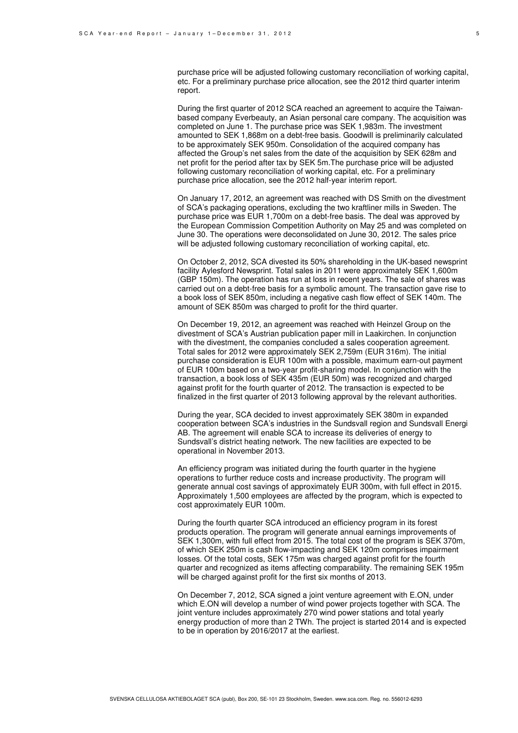purchase price will be adjusted following customary reconciliation of working capital, etc. For a preliminary purchase price allocation, see the 2012 third quarter interim report.

During the first quarter of 2012 SCA reached an agreement to acquire the Taiwanbased company Everbeauty, an Asian personal care company. The acquisition was completed on June 1. The purchase price was SEK 1,983m. The investment amounted to SEK 1,868m on a debt-free basis. Goodwill is preliminarily calculated to be approximately SEK 950m. Consolidation of the acquired company has affected the Group's net sales from the date of the acquisition by SEK 628m and net profit for the period after tax by SEK 5m.The purchase price will be adjusted following customary reconciliation of working capital, etc. For a preliminary purchase price allocation, see the 2012 half-year interim report.

On January 17, 2012, an agreement was reached with DS Smith on the divestment of SCA's packaging operations, excluding the two kraftliner mills in Sweden. The purchase price was EUR 1,700m on a debt-free basis. The deal was approved by the European Commission Competition Authority on May 25 and was completed on June 30. The operations were deconsolidated on June 30, 2012. The sales price will be adjusted following customary reconciliation of working capital, etc.

On October 2, 2012, SCA divested its 50% shareholding in the UK-based newsprint facility Aylesford Newsprint. Total sales in 2011 were approximately SEK 1,600m (GBP 150m). The operation has run at loss in recent years. The sale of shares was carried out on a debt-free basis for a symbolic amount. The transaction gave rise to a book loss of SEK 850m, including a negative cash flow effect of SEK 140m. The amount of SEK 850m was charged to profit for the third quarter.

On December 19, 2012, an agreement was reached with Heinzel Group on the divestment of SCA's Austrian publication paper mill in Laakirchen. In conjunction with the divestment, the companies concluded a sales cooperation agreement. Total sales for 2012 were approximately SEK 2,759m (EUR 316m). The initial purchase consideration is EUR 100m with a possible, maximum earn-out payment of EUR 100m based on a two-year profit-sharing model. In conjunction with the transaction, a book loss of SEK 435m (EUR 50m) was recognized and charged against profit for the fourth quarter of 2012. The transaction is expected to be finalized in the first quarter of 2013 following approval by the relevant authorities.

During the year, SCA decided to invest approximately SEK 380m in expanded cooperation between SCA's industries in the Sundsvall region and Sundsvall Energi AB. The agreement will enable SCA to increase its deliveries of energy to Sundsvall's district heating network. The new facilities are expected to be operational in November 2013.

An efficiency program was initiated during the fourth quarter in the hygiene operations to further reduce costs and increase productivity. The program will generate annual cost savings of approximately EUR 300m, with full effect in 2015. Approximately 1,500 employees are affected by the program, which is expected to cost approximately EUR 100m.

During the fourth quarter SCA introduced an efficiency program in its forest products operation. The program will generate annual earnings improvements of SEK 1,300m, with full effect from 2015. The total cost of the program is SEK 370m, of which SEK 250m is cash flow-impacting and SEK 120m comprises impairment losses. Of the total costs, SEK 175m was charged against profit for the fourth quarter and recognized as items affecting comparability. The remaining SEK 195m will be charged against profit for the first six months of 2013.

On December 7, 2012, SCA signed a joint venture agreement with E.ON, under which E.ON will develop a number of wind power projects together with SCA. The joint venture includes approximately 270 wind power stations and total yearly energy production of more than 2 TWh. The project is started 2014 and is expected to be in operation by 2016/2017 at the earliest.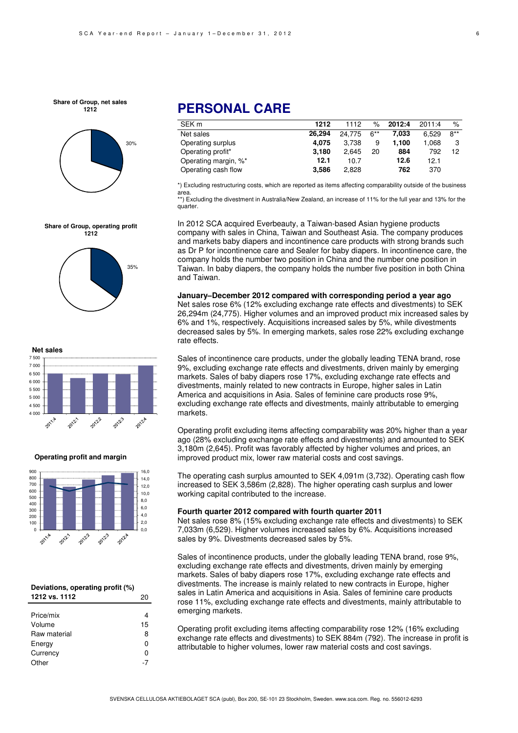**Share of Group, net sales 1212**



**Share of Group, operating profit 1212**





**Operating profit and margin**



| Deviations, operating profit (%) |    |  |  |
|----------------------------------|----|--|--|
| 1212 vs. 1112                    | 20 |  |  |
|                                  |    |  |  |
| Price/mix                        | 4  |  |  |
| Volume                           | 15 |  |  |
| Raw material                     | 8  |  |  |
| Energy                           | ი  |  |  |
| Currency                         | n  |  |  |
| )ther                            |    |  |  |

## **PERSONAL CARE**

| SEK <sub>m</sub>     | 1212   | 1112   | $\%$   | 2012:4 | 2011:4 | %      |
|----------------------|--------|--------|--------|--------|--------|--------|
| Net sales            | 26.294 | 24.775 | $6***$ | 7.033  | 6.529  | $8***$ |
| Operating surplus    | 4.075  | 3.738  | 9      | 1.100  | 1.068  | 3      |
| Operating profit*    | 3.180  | 2.645  | 20     | 884    | 792    | 12     |
| Operating margin, %* | 12.1   | 10.7   |        | 12.6   | 12.1   |        |
| Operating cash flow  | 3.586  | 2.828  |        | 762    | 370    |        |

\*) Excluding restructuring costs, which are reported as items affecting comparability outside of the business area.

\*\*) Excluding the divestment in Australia/New Zealand, an increase of 11% for the full year and 13% for the quarter.

In 2012 SCA acquired Everbeauty, a Taiwan-based Asian hygiene products company with sales in China, Taiwan and Southeast Asia. The company produces and markets baby diapers and incontinence care products with strong brands such as Dr P for incontinence care and Sealer for baby diapers. In incontinence care, the company holds the number two position in China and the number one position in Taiwan. In baby diapers, the company holds the number five position in both China and Taiwan.

**January–December 2012 compared with corresponding period a year ago**  Net sales rose 6% (12% excluding exchange rate effects and divestments) to SEK 26,294m (24,775). Higher volumes and an improved product mix increased sales by 6% and 1%, respectively. Acquisitions increased sales by 5%, while divestments decreased sales by 5%. In emerging markets, sales rose 22% excluding exchange rate effects.

Sales of incontinence care products, under the globally leading TENA brand, rose 9%, excluding exchange rate effects and divestments, driven mainly by emerging markets. Sales of baby diapers rose 17%, excluding exchange rate effects and divestments, mainly related to new contracts in Europe, higher sales in Latin America and acquisitions in Asia. Sales of feminine care products rose 9%, excluding exchange rate effects and divestments, mainly attributable to emerging markets.

Operating profit excluding items affecting comparability was 20% higher than a year ago (28% excluding exchange rate effects and divestments) and amounted to SEK 3,180m (2,645). Profit was favorably affected by higher volumes and prices, an improved product mix, lower raw material costs and cost savings.

The operating cash surplus amounted to SEK 4,091m (3,732). Operating cash flow increased to SEK 3,586m (2,828). The higher operating cash surplus and lower working capital contributed to the increase.

#### **Fourth quarter 2012 compared with fourth quarter 2011**

Net sales rose 8% (15% excluding exchange rate effects and divestments) to SEK 7,033m (6,529). Higher volumes increased sales by 6%. Acquisitions increased sales by 9%. Divestments decreased sales by 5%.

Sales of incontinence products, under the globally leading TENA brand, rose 9%, excluding exchange rate effects and divestments, driven mainly by emerging markets. Sales of baby diapers rose 17%, excluding exchange rate effects and divestments. The increase is mainly related to new contracts in Europe, higher sales in Latin America and acquisitions in Asia. Sales of feminine care products rose 11%, excluding exchange rate effects and divestments, mainly attributable to emerging markets.

Operating profit excluding items affecting comparability rose 12% (16% excluding exchange rate effects and divestments) to SEK 884m (792). The increase in profit is attributable to higher volumes, lower raw material costs and cost savings.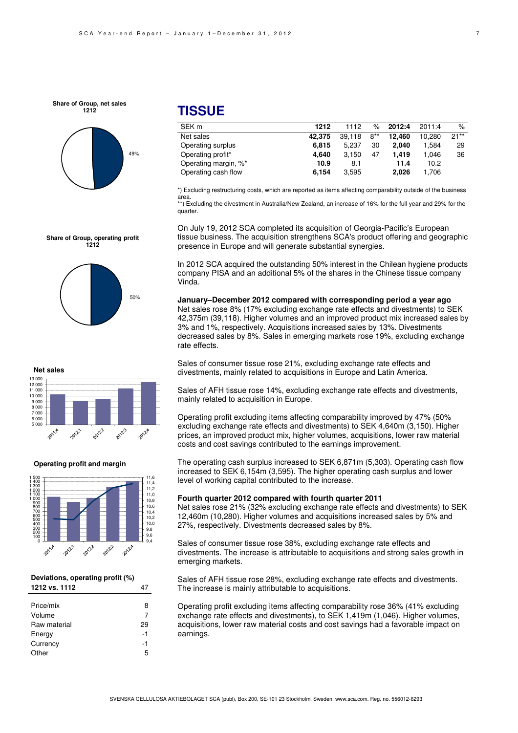#### **Share of Group, net sales 1212**



**Share of Group, operating profit 1212**

## **TISSUE**

| SEK <sub>m</sub>     | 1212   | 1112   | $\%$   | 2012:4 | 2011:4 | $\%$   |
|----------------------|--------|--------|--------|--------|--------|--------|
| Net sales            | 42.375 | 39.118 | $8***$ | 12.460 | 10.280 | $21**$ |
| Operating surplus    | 6.815  | 5.237  | 30     | 2.040  | 1.584  | 29     |
| Operating profit*    | 4.640  | 3.150  | 47     | 1.419  | 1.046  | 36     |
| Operating margin, %* | 10.9   | 8.1    |        | 11.4   | 10.2   |        |
| Operating cash flow  | 6.154  | 3.595  |        | 2.026  | 1.706  |        |

\*) Excluding restructuring costs, which are reported as items affecting comparability outside of the business area.

\*\*) Excluding the divestment in Australia/New Zealand, an increase of 16% for the full year and 29% for the quarter.

On July 19, 2012 SCA completed its acquisition of Georgia-Pacific's European tissue business. The acquisition strengthens SCA's product offering and geographic presence in Europe and will generate substantial synergies.

In 2012 SCA acquired the outstanding 50% interest in the Chilean hygiene products company PISA and an additional 5% of the shares in the Chinese tissue company Vinda.

**January–December 2012 compared with corresponding period a year ago**  Net sales rose 8% (17% excluding exchange rate effects and divestments) to SEK 42,375m (39,118). Higher volumes and an improved product mix increased sales by 3% and 1%, respectively. Acquisitions increased sales by 13%. Divestments decreased sales by 8%. Sales in emerging markets rose 19%, excluding exchange rate effects.

Sales of consumer tissue rose 21%, excluding exchange rate effects and divestments, mainly related to acquisitions in Europe and Latin America.

Sales of AFH tissue rose 14%, excluding exchange rate effects and divestments, mainly related to acquisition in Europe.

Operating profit excluding items affecting comparability improved by 47% (50% excluding exchange rate effects and divestments) to SEK 4,640m (3,150). Higher prices, an improved product mix, higher volumes, acquisitions, lower raw material costs and cost savings contributed to the earnings improvement.

The operating cash surplus increased to SEK 6,871m (5,303). Operating cash flow increased to SEK 6,154m (3,595). The higher operating cash surplus and lower level of working capital contributed to the increase.

#### **Fourth quarter 2012 compared with fourth quarter 2011**

Net sales rose 21% (32% excluding exchange rate effects and divestments) to SEK 12,460m (10,280). Higher volumes and acquisitions increased sales by 5% and 27%, respectively. Divestments decreased sales by 8%.

Sales of consumer tissue rose 38%, excluding exchange rate effects and divestments. The increase is attributable to acquisitions and strong sales growth in emerging markets.

Sales of AFH tissue rose 28%, excluding exchange rate effects and divestments. The increase is mainly attributable to acquisitions.

Operating profit excluding items affecting comparability rose 36% (41% excluding exchange rate effects and divestments), to SEK 1,419m (1,046). Higher volumes, acquisitions, lower raw material costs and cost savings had a favorable impact on earnings.

#### **Net sales** 13 000 11 000 12 000 10 000 9 000 7 000 8 000 6.000 5.000 2011年 2012zolil 2012-2012年

50%

#### **Operating profit and margin**



#### **Deviations, operating profit (%) 1212 vs. 1112** 47

| Price/mix    | 8  |
|--------------|----|
| Volume       | 7  |
| Raw material | 29 |
| Energy       | -1 |
| Currency     | -1 |
| Other        | 5  |
|              |    |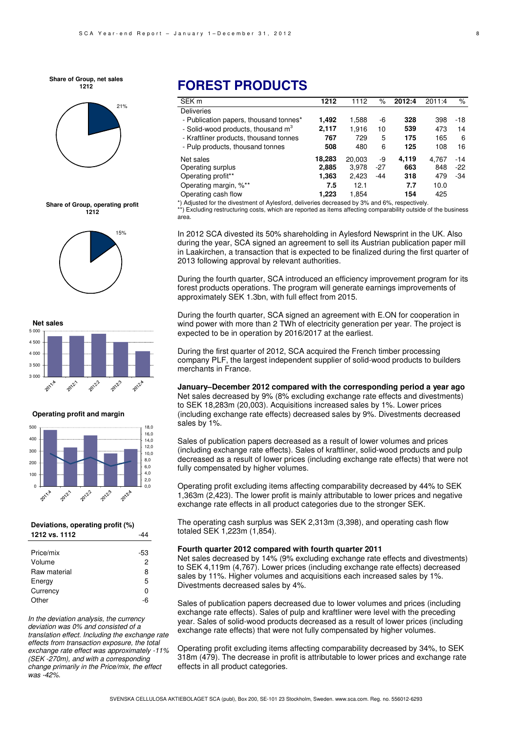









#### **Operating profit and margin**



#### **Deviations, operating profit (%) 1212 vs. 1112** -44

| Price/mix    | -53 |
|--------------|-----|
| Volume       | 2   |
| Raw material | 8   |
| Energy       | 5   |
| Currency     | n   |
| Other        | -6  |

In the deviation analysis, the currency deviation was 0% and consisted of a translation effect. Including the exchange rate effects from transaction exposure, the total exchange rate effect was approximately -11% (SEK -270m), and with a corresponding change primarily in the Price/mix, the effect was -42%.

## **FOREST PRODUCTS**

| SEK <sub>m</sub>                               | 1212   | 1112   | $\%$  | 2012:4 | 2011:4 | %     |
|------------------------------------------------|--------|--------|-------|--------|--------|-------|
| <b>Deliveries</b>                              |        |        |       |        |        |       |
| - Publication papers, thousand tonnes*         | 1.492  | 1,588  | -6    | 328    | 398    | $-18$ |
| - Solid-wood products, thousand m <sup>3</sup> | 2.117  | 1.916  | 10    | 539    | 473    | 14    |
| - Kraftliner products, thousand tonnes         | 767    | 729    | 5     | 175    | 165    | 6     |
| - Pulp products, thousand tonnes               | 508    | 480    | 6     | 125    | 108    | 16    |
| Net sales                                      | 18,283 | 20.003 | -9    | 4.119  | 4.767  | $-14$ |
| Operating surplus                              | 2,885  | 3,978  | $-27$ | 663    | 848    | $-22$ |
| Operating profit**                             | 1,363  | 2.423  | $-44$ | 318    | 479    | $-34$ |
| Operating margin, %**                          | 7.5    | 12.1   |       | 7.7    | 10.0   |       |
| Operating cash flow                            | 1.223  | 1.854  |       | 154    | 425    |       |

\*) Adjusted for the divestment of Aylesford, deliveries decreased by 3% and 6%, respectively.

\*\*) Excluding restructuring costs, which are reported as items affecting comparability outside of the business area.

In 2012 SCA divested its 50% shareholding in Aylesford Newsprint in the UK. Also during the year, SCA signed an agreement to sell its Austrian publication paper mill in Laakirchen, a transaction that is expected to be finalized during the first quarter of 2013 following approval by relevant authorities.

During the fourth quarter, SCA introduced an efficiency improvement program for its forest products operations. The program will generate earnings improvements of approximately SEK 1.3bn, with full effect from 2015.

During the fourth quarter, SCA signed an agreement with E.ON for cooperation in wind power with more than 2 TWh of electricity generation per year. The project is expected to be in operation by 2016/2017 at the earliest.

During the first quarter of 2012, SCA acquired the French timber processing company PLF, the largest independent supplier of solid-wood products to builders merchants in France.

**January–December 2012 compared with the corresponding period a year ago**  Net sales decreased by 9% (8% excluding exchange rate effects and divestments) to SEK 18,283m (20,003). Acquisitions increased sales by 1%. Lower prices (including exchange rate effects) decreased sales by 9%. Divestments decreased sales by 1%.

Sales of publication papers decreased as a result of lower volumes and prices (including exchange rate effects). Sales of kraftliner, solid-wood products and pulp decreased as a result of lower prices (including exchange rate effects) that were not fully compensated by higher volumes.

Operating profit excluding items affecting comparability decreased by 44% to SEK 1,363m (2,423). The lower profit is mainly attributable to lower prices and negative exchange rate effects in all product categories due to the stronger SEK.

The operating cash surplus was SEK 2,313m (3,398), and operating cash flow totaled SEK 1,223m (1,854).

#### **Fourth quarter 2012 compared with fourth quarter 2011**

Net sales decreased by 14% (9% excluding exchange rate effects and divestments) to SEK 4,119m (4,767). Lower prices (including exchange rate effects) decreased sales by 11%. Higher volumes and acquisitions each increased sales by 1%. Divestments decreased sales by 4%.

Sales of publication papers decreased due to lower volumes and prices (including exchange rate effects). Sales of pulp and kraftliner were level with the preceding year. Sales of solid-wood products decreased as a result of lower prices (including exchange rate effects) that were not fully compensated by higher volumes.

Operating profit excluding items affecting comparability decreased by 34%, to SEK 318m (479). The decrease in profit is attributable to lower prices and exchange rate effects in all product categories.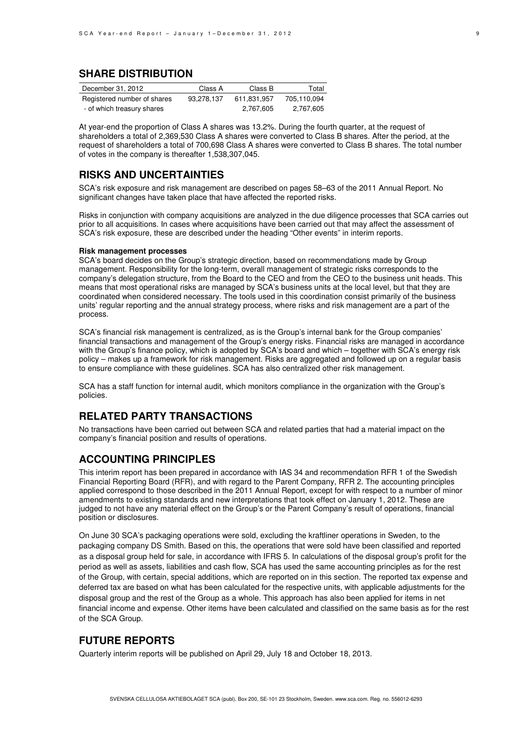## **SHARE DISTRIBUTION**

| December 31, 2012           | Class A    | Class B     | Total       |
|-----------------------------|------------|-------------|-------------|
| Registered number of shares | 93.278.137 | 611.831.957 | 705.110.094 |
| - of which treasury shares  |            | 2.767.605   | 2,767,605   |

At year-end the proportion of Class A shares was 13.2%. During the fourth quarter, at the request of shareholders a total of 2,369,530 Class A shares were converted to Class B shares. After the period, at the request of shareholders a total of 700,698 Class A shares were converted to Class B shares. The total number of votes in the company is thereafter 1,538,307,045.

## **RISKS AND UNCERTAINTIES**

SCA's risk exposure and risk management are described on pages 58–63 of the 2011 Annual Report. No significant changes have taken place that have affected the reported risks.

Risks in conjunction with company acquisitions are analyzed in the due diligence processes that SCA carries out prior to all acquisitions. In cases where acquisitions have been carried out that may affect the assessment of SCA's risk exposure, these are described under the heading "Other events" in interim reports.

#### **Risk management processes**

SCA's board decides on the Group's strategic direction, based on recommendations made by Group management. Responsibility for the long-term, overall management of strategic risks corresponds to the company's delegation structure, from the Board to the CEO and from the CEO to the business unit heads. This means that most operational risks are managed by SCA's business units at the local level, but that they are coordinated when considered necessary. The tools used in this coordination consist primarily of the business units' regular reporting and the annual strategy process, where risks and risk management are a part of the process.

SCA's financial risk management is centralized, as is the Group's internal bank for the Group companies' financial transactions and management of the Group's energy risks. Financial risks are managed in accordance with the Group's finance policy, which is adopted by SCA's board and which – together with SCA's energy risk policy – makes up a framework for risk management. Risks are aggregated and followed up on a regular basis to ensure compliance with these guidelines. SCA has also centralized other risk management.

SCA has a staff function for internal audit, which monitors compliance in the organization with the Group's policies.

## **RELATED PARTY TRANSACTIONS**

No transactions have been carried out between SCA and related parties that had a material impact on the company's financial position and results of operations.

### **ACCOUNTING PRINCIPLES**

This interim report has been prepared in accordance with IAS 34 and recommendation RFR 1 of the Swedish Financial Reporting Board (RFR), and with regard to the Parent Company, RFR 2. The accounting principles applied correspond to those described in the 2011 Annual Report, except for with respect to a number of minor amendments to existing standards and new interpretations that took effect on January 1, 2012. These are judged to not have any material effect on the Group's or the Parent Company's result of operations, financial position or disclosures.

On June 30 SCA's packaging operations were sold, excluding the kraftliner operations in Sweden, to the packaging company DS Smith. Based on this, the operations that were sold have been classified and reported as a disposal group held for sale, in accordance with IFRS 5. In calculations of the disposal group's profit for the period as well as assets, liabilities and cash flow, SCA has used the same accounting principles as for the rest of the Group, with certain, special additions, which are reported on in this section. The reported tax expense and deferred tax are based on what has been calculated for the respective units, with applicable adjustments for the disposal group and the rest of the Group as a whole. This approach has also been applied for items in net financial income and expense. Other items have been calculated and classified on the same basis as for the rest of the SCA Group.

### **FUTURE REPORTS**

Quarterly interim reports will be published on April 29, July 18 and October 18, 2013.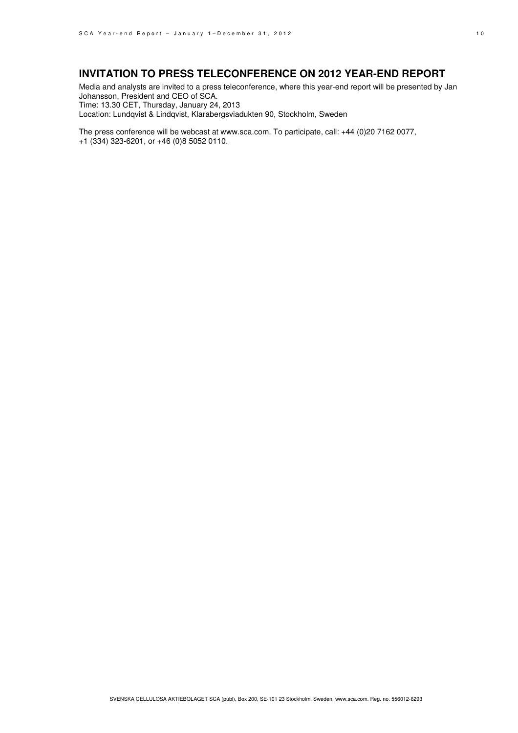## **INVITATION TO PRESS TELECONFERENCE ON 2012 YEAR-END REPORT**

Media and analysts are invited to a press teleconference, where this year-end report will be presented by Jan Johansson, President and CEO of SCA. Time: 13.30 CET, Thursday, January 24, 2013 Location: Lundqvist & Lindqvist, Klarabergsviadukten 90, Stockholm, Sweden

The press conference will be webcast at www.sca.com. To participate, call: +44 (0)20 7162 0077, +1 (334) 323-6201, or +46 (0)8 5052 0110.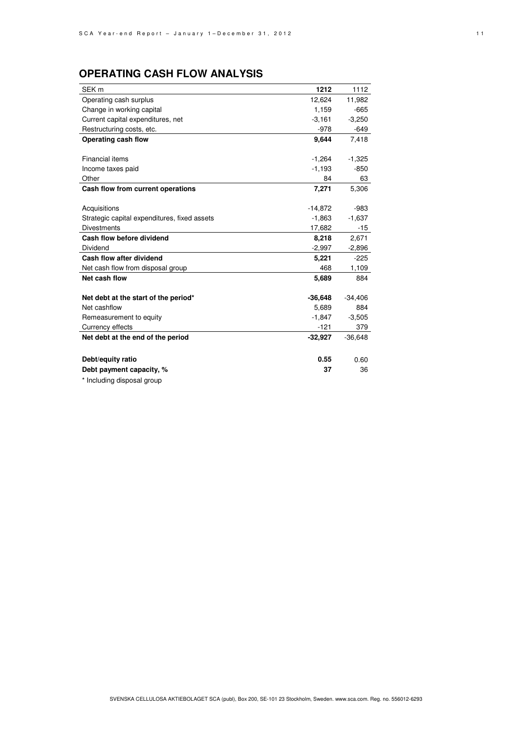# **OPERATING CASH FLOW ANALYSIS**

| SEK <sub>m</sub>                             | 1212      | 1112      |
|----------------------------------------------|-----------|-----------|
| Operating cash surplus                       | 12,624    | 11,982    |
| Change in working capital                    | 1,159     | $-665$    |
| Current capital expenditures, net            | $-3,161$  | $-3,250$  |
| Restructuring costs, etc.                    | -978      | $-649$    |
| Operating cash flow                          | 9,644     | 7,418     |
|                                              |           |           |
| Financial items                              | $-1,264$  | $-1,325$  |
| Income taxes paid                            | $-1,193$  | $-850$    |
| Other                                        | 84        | 63        |
| Cash flow from current operations            | 7,271     | 5,306     |
|                                              |           |           |
| Acquisitions                                 | $-14,872$ | $-983$    |
| Strategic capital expenditures, fixed assets | $-1,863$  | $-1,637$  |
| <b>Divestments</b>                           | 17,682    | $-15$     |
| Cash flow before dividend                    | 8,218     | 2,671     |
| Dividend                                     | $-2,997$  | $-2,896$  |
| Cash flow after dividend                     | 5,221     | $-225$    |
| Net cash flow from disposal group            | 468       | 1,109     |
| Net cash flow                                | 5,689     | 884       |
|                                              |           |           |
| Net debt at the start of the period*         | $-36,648$ | $-34,406$ |
| Net cashflow                                 | 5,689     | 884       |
| Remeasurement to equity                      | $-1,847$  | $-3,505$  |
| Currency effects                             | $-121$    | 379       |
| Net debt at the end of the period            | $-32,927$ | $-36,648$ |
|                                              |           |           |
| Debt/equity ratio                            | 0.55      | 0.60      |
| Debt payment capacity, %                     | 37        | 36        |
|                                              |           |           |

\* Including disposal group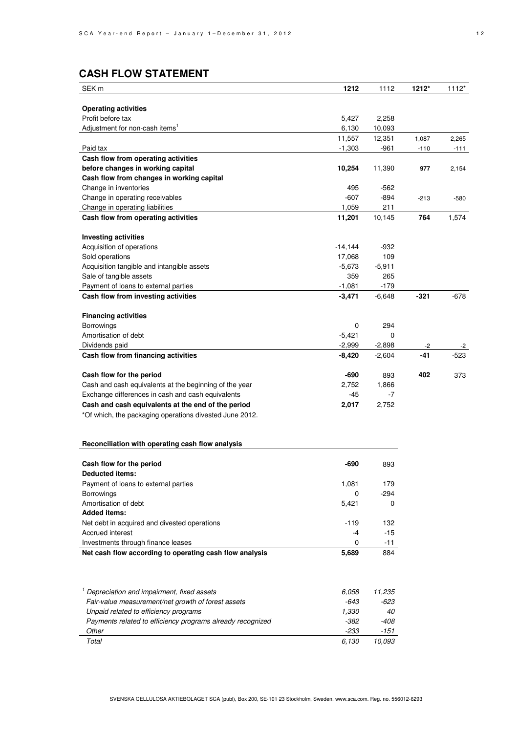# **CASH FLOW STATEMENT**

| SEK <sub>m</sub>                                        | 1212      | 1112     | 1212*  | $1112*$ |
|---------------------------------------------------------|-----------|----------|--------|---------|
|                                                         |           |          |        |         |
| <b>Operating activities</b>                             |           |          |        |         |
| Profit before tax                                       | 5,427     | 2,258    |        |         |
| Adjustment for non-cash items <sup>1</sup>              | 6,130     | 10,093   |        |         |
|                                                         | 11,557    | 12,351   | 1,087  | 2,265   |
| Paid tax                                                | $-1,303$  | $-961$   | $-110$ | $-111$  |
| Cash flow from operating activities                     |           |          |        |         |
| before changes in working capital                       | 10,254    | 11,390   | 977    | 2,154   |
| Cash flow from changes in working capital               |           |          |        |         |
| Change in inventories                                   | 495       | $-562$   |        |         |
| Change in operating receivables                         | $-607$    | $-894$   | $-213$ | $-580$  |
| Change in operating liabilities                         | 1,059     | 211      |        |         |
| Cash flow from operating activities                     | 11,201    | 10,145   | 764    | 1,574   |
|                                                         |           |          |        |         |
| <b>Investing activities</b>                             |           |          |        |         |
| Acquisition of operations                               | $-14,144$ | $-932$   |        |         |
| Sold operations                                         | 17,068    | 109      |        |         |
| Acquisition tangible and intangible assets              | $-5,673$  | $-5,911$ |        |         |
| Sale of tangible assets                                 | 359       | 265      |        |         |
| Payment of loans to external parties                    | $-1,081$  | $-179$   |        |         |
| Cash flow from investing activities                     | $-3,471$  | $-6,648$ | $-321$ | $-678$  |
|                                                         |           |          |        |         |
| <b>Financing activities</b>                             |           |          |        |         |
| <b>Borrowings</b>                                       | 0         | 294      |        |         |
| Amortisation of debt                                    | $-5,421$  | 0        |        |         |
| Dividends paid                                          | $-2,999$  | $-2,898$ | $-2$   | -2      |
| Cash flow from financing activities                     | $-8,420$  | $-2,604$ | -41    | $-523$  |
|                                                         |           |          |        |         |
| Cash flow for the period                                | $-690$    | 893      | 402    | 373     |
| Cash and cash equivalents at the beginning of the year  | 2,752     | 1,866    |        |         |
| Exchange differences in cash and cash equivalents       | $-45$     | $-7$     |        |         |
| Cash and cash equivalents at the end of the period      | 2,017     | 2,752    |        |         |
| *Of which, the packaging operations divested June 2012. |           |          |        |         |

#### **Reconciliation with operating cash flow analysis**

| Cash flow for the period                                | -690   | 893    |
|---------------------------------------------------------|--------|--------|
| Deducted items:                                         |        |        |
| Payment of loans to external parties                    | 1.081  | 179    |
| <b>Borrowings</b>                                       | 0      | $-294$ |
| Amortisation of debt                                    | 5,421  | 0      |
| <b>Added items:</b>                                     |        |        |
| Net debt in acquired and divested operations            | $-119$ | 132    |
| Accrued interest                                        | -4     | $-15$  |
| Investments through finance leases                      | 0      | $-11$  |
| Net cash flow according to operating cash flow analysis | 5,689  | 884    |

| Depreciation and impairment, fixed assets                  | 6.058 | 11.235 |
|------------------------------------------------------------|-------|--------|
| Fair-value measurement/net growth of forest assets         | -643  | -623   |
| Unpaid related to efficiency programs                      | 1.330 | 40     |
| Payments related to efficiency programs already recognized | -382  | -408   |
| Other                                                      | -233  | -151   |
| Total                                                      | 6.130 | 10.093 |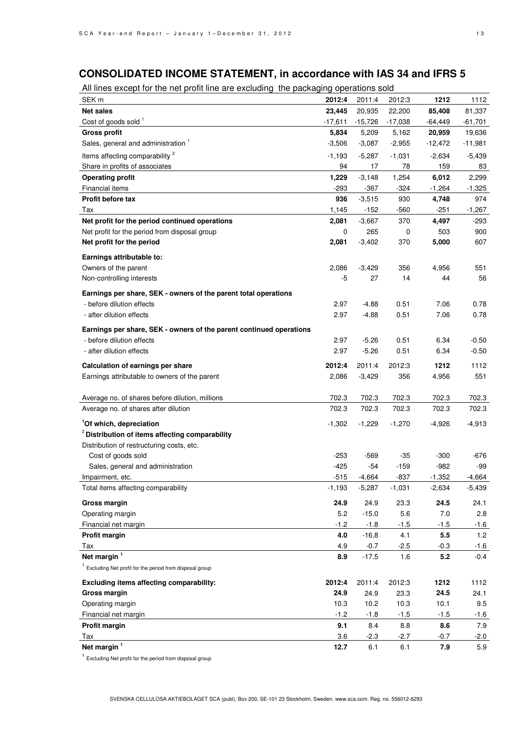# **CONSOLIDATED INCOME STATEMENT, in accordance with IAS 34 and IFRS 5**

|  | All lines except for the net profit line are excluding the packaging operations sold |
|--|--------------------------------------------------------------------------------------|
|  |                                                                                      |

| SEK <sub>m</sub>                                                                   | 2012:4    | 2011:4    | 2012:3    | 1212        | 1112      |
|------------------------------------------------------------------------------------|-----------|-----------|-----------|-------------|-----------|
| <b>Net sales</b>                                                                   | 23,445    | 20,935    | 22,200    | 85,408      | 81,337    |
| Cost of goods sold 1                                                               | $-17,611$ | $-15,726$ | $-17,038$ | $-64,449$   | $-61,701$ |
| <b>Gross profit</b>                                                                | 5,834     | 5,209     | 5,162     | 20,959      | 19,636    |
| Sales, general and administration 1                                                | $-3,506$  | $-3,087$  | $-2,955$  | $-12,472$   | $-11,981$ |
| Items affecting comparability <sup>2</sup>                                         | $-1,193$  | $-5,287$  | $-1,031$  | $-2,634$    | $-5,439$  |
| Share in profits of associates                                                     | 94        | 17        | 78        | 159         | 83        |
| <b>Operating profit</b>                                                            | 1,229     | $-3,148$  | 1,254     | 6,012       | 2,299     |
| Financial items                                                                    | $-293$    | $-367$    | $-324$    | $-1,264$    | $-1,325$  |
| Profit before tax                                                                  | 936       | $-3,515$  | 930       | 4,748       | 974       |
| Tax                                                                                | 1,145     | $-152$    | $-560$    | $-251$      | $-1,267$  |
| Net profit for the period continued operations                                     | 2,081     | $-3,667$  | 370       | 4,497       | -293      |
| Net profit for the period from disposal group                                      | 0         | 265       | 0         | 503         | 900       |
| Net profit for the period                                                          | 2,081     | $-3,402$  | 370       | 5,000       | 607       |
|                                                                                    |           |           |           |             |           |
| Earnings attributable to:<br>Owners of the parent                                  | 2,086     | $-3,429$  | 356       |             | 551       |
| Non-controlling interests                                                          | -5        | 27        | 14        | 4,956<br>44 | 56        |
|                                                                                    |           |           |           |             |           |
| Earnings per share, SEK - owners of the parent total operations                    |           |           |           |             |           |
| - before dilution effects                                                          | 2.97      | $-4.88$   | 0.51      | 7.06        | 0.78      |
| - after dilution effects                                                           | 2.97      | $-4.88$   | 0.51      | 7.06        | 0.78      |
| Earnings per share, SEK - owners of the parent continued operations                |           |           |           |             |           |
| - before dilution effects                                                          | 2.97      | $-5.26$   | 0.51      | 6.34        | $-0.50$   |
| - after dilution effects                                                           | 2.97      | $-5.26$   | 0.51      | 6.34        | $-0.50$   |
|                                                                                    | 2012:4    | 2011:4    | 2012:3    | 1212        | 1112      |
| Calculation of earnings per share<br>Earnings attributable to owners of the parent | 2,086     | $-3,429$  | 356       | 4,956       | 551       |
|                                                                                    |           |           |           |             |           |
| Average no. of shares before dilution, millions                                    | 702.3     | 702.3     | 702.3     | 702.3       | 702.3     |
| Average no. of shares after dilution                                               | 702.3     | 702.3     | 702.3     | 702.3       | 702.3     |
|                                                                                    |           |           |           |             |           |
| <sup>1</sup> Of which, depreciation                                                | $-1,302$  | $-1,229$  | $-1,270$  | $-4,926$    | $-4,913$  |
| <sup>2</sup> Distribution of items affecting comparability                         |           |           |           |             |           |
| Distribution of restructuring costs, etc.                                          | -253      | $-569$    | $-35$     | $-300$      | -676      |
| Cost of goods sold                                                                 | $-425$    | $-54$     | $-159$    | $-982$      | -99       |
| Sales, general and administration<br>Impairment, etc.                              | $-515$    | $-4,664$  | $-837$    | $-1,352$    | $-4,664$  |
| Total items affecting comparability                                                | $-1,193$  | $-5,287$  | $-1,031$  | $-2,634$    | $-5,439$  |
|                                                                                    |           |           |           |             |           |
| <b>Gross margin</b>                                                                | 24.9      | 24.9      | 23.3      | 24.5        | 24.1      |
| Operating margin                                                                   | 5.2       | $-15.0$   | 5.6       | 7.0         | 2.8       |
| Financial net margin                                                               | $-1.2$    | $-1.8$    | $-1.5$    | $-1.5$      | $-1.6$    |
| Profit margin                                                                      | 4.0       | $-16.8$   | 4.1       | 5.5         | 1.2       |
| Tax                                                                                | 4.9       | $-0.7$    | $-2.5$    | $-0.3$      | $-1.6$    |
| Net margin <sup>1</sup>                                                            | 8.9       | $-17.5$   | 1.6       | 5.2         | $-0.4$    |
| <sup>1</sup> Excluding Net profit for the period from disposal group               |           |           |           |             |           |
| Excluding items affecting comparability:                                           | 2012:4    | 2011:4    | 2012:3    | 1212        | 1112      |
| <b>Gross margin</b>                                                                | 24.9      | 24.9      | 23.3      | 24.5        | 24.1      |
| Operating margin                                                                   | 10.3      | 10.2      | 10.3      | 10.1        | 9.5       |
| Financial net margin                                                               | $-1.2$    | $-1.8$    | $-1.5$    | $-1.5$      | $-1.6$    |
| Profit margin                                                                      | 9.1       | 8.4       | 8.8       | 8.6         | 7.9       |
| Tax                                                                                | 3.6       | $-2.3$    | $-2.7$    | $-0.7$      | $-2.0$    |
| Net margin <sup>1</sup>                                                            | 12.7      | 6.1       | 6.1       | 7.9         | 5.9       |

<sup>1</sup> Excluding Net profit for the period from disposal group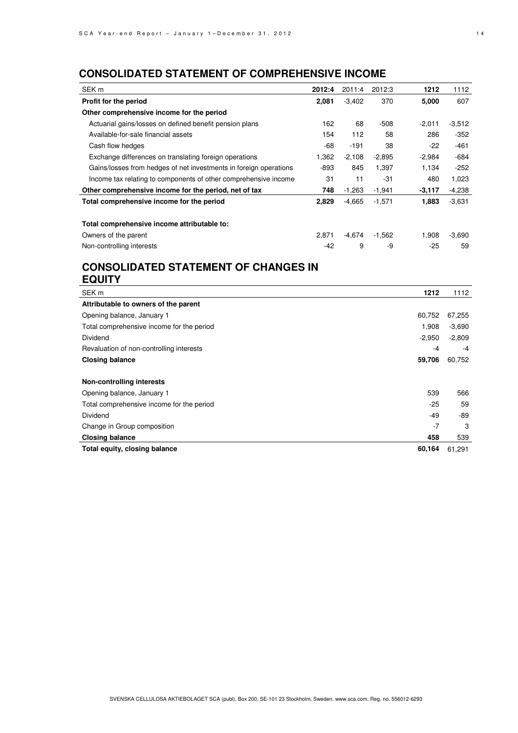# **CONSOLIDATED STATEMENT OF COMPREHENSIVE INCOME**

| SEK <sub>m</sub>                                                  | 2012:4 | 2011:4   | 2012:3   | 1212     | 1112     |
|-------------------------------------------------------------------|--------|----------|----------|----------|----------|
| Profit for the period                                             | 2,081  | $-3,402$ | 370      | 5,000    | 607      |
| Other comprehensive income for the period                         |        |          |          |          |          |
| Actuarial gains/losses on defined benefit pension plans           | 162    | 68       | $-508$   | $-2,011$ | $-3,512$ |
| Available-for-sale financial assets                               | 154    | 112      | 58       | 286      | $-352$   |
| Cash flow hedges                                                  | $-68$  | -191     | 38       | $-22$    | $-461$   |
| Exchange differences on translating foreign operations            | 1,362  | $-2,108$ | $-2,895$ | $-2,984$ | $-684$   |
| Gains/losses from hedges of net investments in foreign operations | $-893$ | 845      | 1,397    | 1,134    | $-252$   |
| Income tax relating to components of other comprehensive income   | 31     | 11       | -31      | 480      | 1,023    |
| Other comprehensive income for the period, net of tax             | 748    | $-1,263$ | $-1,941$ | $-3,117$ | $-4,238$ |
| Total comprehensive income for the period                         | 2,829  | $-4,665$ | $-1,571$ | 1,883    | $-3,631$ |
| Total comprehensive income attributable to:                       |        |          |          |          |          |
| Owners of the parent                                              | 2.871  | $-4,674$ | $-1,562$ | 1,908    | $-3,690$ |
| Non-controlling interests                                         | $-42$  | 9        | -9       | $-25$    | 59       |

## **CONSOLIDATED STATEMENT OF CHANGES IN EQUITY**

| SEK <sub>m</sub>                          | 1212     | 1112     |
|-------------------------------------------|----------|----------|
| Attributable to owners of the parent      |          |          |
| Opening balance, January 1                | 60,752   | 67,255   |
| Total comprehensive income for the period | 1.908    | $-3,690$ |
| Dividend                                  | $-2,950$ | $-2,809$ |
| Revaluation of non-controlling interests  | $-4$     | $-4$     |
| <b>Closing balance</b>                    | 59,706   | 60,752   |
|                                           |          |          |
| <b>Non-controlling interests</b>          |          |          |
| Opening balance, January 1                | 539      | 566      |
| Total comprehensive income for the period | $-25$    | 59       |
| Dividend                                  | -49      | -89      |
| Change in Group composition               | $-7$     | 3        |
| <b>Closing balance</b>                    | 458      | 539      |
| Total equity, closing balance             | 60.164   | 61,291   |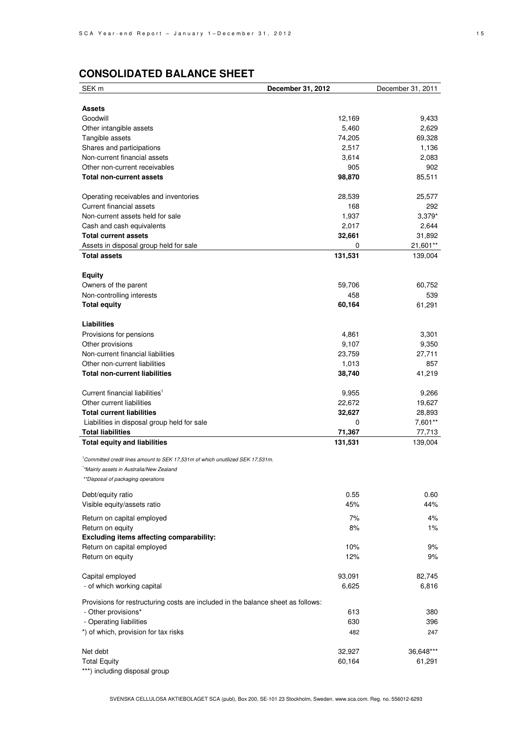# **CONSOLIDATED BALANCE SHEET**

| SEK <sub>m</sub>                                                                           | December 31, 2012 | December 31, 2011 |
|--------------------------------------------------------------------------------------------|-------------------|-------------------|
|                                                                                            |                   |                   |
| Assets                                                                                     |                   |                   |
| Goodwill                                                                                   | 12,169            | 9,433             |
| Other intangible assets                                                                    | 5,460             | 2,629             |
| Tangible assets                                                                            | 74,205            | 69,328            |
| Shares and participations                                                                  | 2,517             | 1,136             |
| Non-current financial assets                                                               | 3,614             | 2,083             |
| Other non-current receivables                                                              | 905               | 902               |
| <b>Total non-current assets</b>                                                            | 98,870            | 85,511            |
|                                                                                            |                   |                   |
| Operating receivables and inventories                                                      | 28,539            | 25,577            |
| Current financial assets                                                                   | 168               | 292               |
| Non-current assets held for sale                                                           | 1,937             | $3,379*$          |
| Cash and cash equivalents                                                                  | 2,017             | 2,644             |
| <b>Total current assets</b>                                                                | 32,661            | 31,892            |
| Assets in disposal group held for sale                                                     | 0                 | 21,601**          |
| <b>Total assets</b>                                                                        | 131,531           | 139,004           |
|                                                                                            |                   |                   |
| <b>Equity</b>                                                                              |                   |                   |
| Owners of the parent                                                                       | 59,706            | 60,752            |
| Non-controlling interests                                                                  | 458               | 539               |
| <b>Total equity</b>                                                                        | 60,164            | 61,291            |
|                                                                                            |                   |                   |
| <b>Liabilities</b>                                                                         |                   |                   |
| Provisions for pensions                                                                    | 4,861             | 3,301             |
| Other provisions                                                                           | 9,107             | 9,350             |
| Non-current financial liabilities                                                          | 23,759            | 27,711            |
| Other non-current liabilities                                                              | 1,013             | 857               |
| <b>Total non-current liabilities</b>                                                       | 38,740            | 41,219            |
|                                                                                            |                   |                   |
| Current financial liabilities <sup>1</sup>                                                 | 9,955             | 9,266             |
| Other current liabilities                                                                  | 22,672            | 19,627            |
| <b>Total current liabilities</b>                                                           | 32,627            | 28,893            |
| Liabilities in disposal group held for sale                                                | 0                 | 7,601**           |
| <b>Total liabilities</b>                                                                   | 71,367            | 77,713            |
| <b>Total equity and liabilities</b>                                                        | 131,531           | 139,004           |
|                                                                                            |                   |                   |
| <sup>1</sup> Committed credit lines amount to SEK 17,531m of which unutilized SEK 17,531m. |                   |                   |
| *Mainly assets in Australia/New Zealand                                                    |                   |                   |
| **Disposal of packaging operations                                                         |                   |                   |
|                                                                                            |                   |                   |
| Debt/equity ratio                                                                          | 0.55              | 0.60              |
| Visible equity/assets ratio                                                                | 45%               | 44%               |
| Return on capital employed                                                                 | 7%                | 4%                |
| Return on equity                                                                           | 8%                | $1\%$             |
| Excluding items affecting comparability:                                                   |                   |                   |
| Return on capital employed                                                                 | 10%               | 9%                |
| Return on equity                                                                           | 12%               | 9%                |
|                                                                                            |                   |                   |
| Capital employed                                                                           | 93,091            | 82,745            |
| - of which working capital                                                                 | 6,625             | 6,816             |
| Provisions for restructuring costs are included in the balance sheet as follows:           |                   |                   |
|                                                                                            | 613               | 380               |
| - Other provisions*                                                                        |                   |                   |
| - Operating liabilities                                                                    | 630               | 396               |
| *) of which, provision for tax risks                                                       | 482               | 247               |
| Net debt                                                                                   | 32,927            | 36,648***         |
|                                                                                            |                   |                   |
| <b>Total Equity</b>                                                                        | 60,164            | 61,291            |

\*\*\*) including disposal group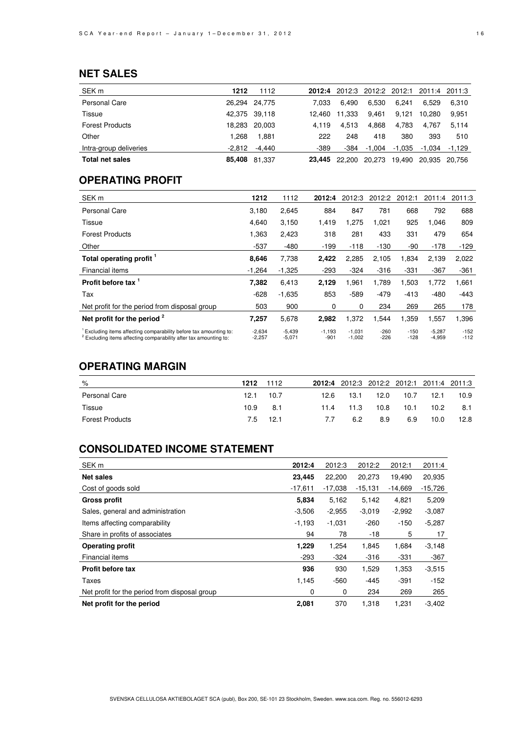## **NET SALES**

| SEK <sub>m</sub>       | 1212     | 1112          | 2012:4 | 2012:3 2012:2 2012:1 2011:4 2011:3 |        |        |               |          |
|------------------------|----------|---------------|--------|------------------------------------|--------|--------|---------------|----------|
| Personal Care          |          | 26,294 24,775 | 7.033  | 6.490                              | 6.530  | 6.241  | 6.529         | 6.310    |
| Tissue                 |          | 42,375 39,118 | 12.460 | 11.333                             | 9.461  | 9.121  | 10.280        | 9.951    |
| <b>Forest Products</b> |          | 18.283 20.003 | 4.119  | 4.513                              | 4,868  | 4,783  | 4.767         | 5.114    |
| Other                  | 1.268    | 1.881         | 222    | 248                                | 418    | 380    | 393           | 510      |
| Intra-group deliveries | $-2.812$ | -4.440        | -389   | -384                               | -1.004 | -1.035 | -1.034        | $-1.129$ |
| Total net sales        |          | 85,408 81,337 | 23.445 | 22.200                             | 20.273 | 19,490 | 20.935 20.756 |          |

## **OPERATING PROFIT**

| SEK <sub>m</sub>                                                                                                                                              | 1212                 | 1112                 | 2012:4             | 2012:3               | 2012:2           | 2012:1           | 2011:4               | 2011:3           |
|---------------------------------------------------------------------------------------------------------------------------------------------------------------|----------------------|----------------------|--------------------|----------------------|------------------|------------------|----------------------|------------------|
| <b>Personal Care</b>                                                                                                                                          | 3,180                | 2,645                | 884                | 847                  | 781              | 668              | 792                  | 688              |
| Tissue                                                                                                                                                        | 4,640                | 3,150                | 1,419              | 1,275                | 1,021            | 925              | 1,046                | 809              |
| <b>Forest Products</b>                                                                                                                                        | 1,363                | 2,423                | 318                | 281                  | 433              | 331              | 479                  | 654              |
| Other                                                                                                                                                         | $-537$               | $-480$               | $-199$             | $-118$               | $-130$           | -90              | $-178$               | $-129$           |
| Total operating profit <sup>1</sup>                                                                                                                           | 8,646                | 7,738                | 2,422              | 2,285                | 2,105            | 1,834            | 2,139                | 2,022            |
| Financial items                                                                                                                                               | $-1,264$             | $-1,325$             | $-293$             | $-324$               | $-316$           | $-331$           | $-367$               | $-361$           |
| Profit before tax 1                                                                                                                                           | 7,382                | 6,413                | 2,129              | 1,961                | 1,789            | 1,503            | 1,772                | 1,661            |
| Tax                                                                                                                                                           | $-628$               | $-1,635$             | 853                | $-589$               | -479             | $-413$           | $-480$               | $-443$           |
| Net profit for the period from disposal group                                                                                                                 | 503                  | 900                  | 0                  | 0                    | 234              | 269              | 265                  | 178              |
| Net profit for the period <sup>2</sup>                                                                                                                        | 7,257                | 5,678                | 2,982              | 1,372                | 1,544            | 1,359            | 1,557                | 1,396            |
| <sup>1</sup> Excluding items affecting comparability before tax amounting to:<br><sup>2</sup> Excluding items affecting comparability after tax amounting to: | $-2,634$<br>$-2,257$ | $-5,439$<br>$-5,071$ | $-1,193$<br>$-901$ | $-1,031$<br>$-1,002$ | $-260$<br>$-226$ | $-150$<br>$-128$ | $-5,287$<br>$-4,959$ | $-152$<br>$-112$ |

## **OPERATING MARGIN**

| %                      | 1212 | 1112     |      | 2012:4 2012:3 2012:2 2012:1 2011:4 2011:3 |      |      |                   |      |
|------------------------|------|----------|------|-------------------------------------------|------|------|-------------------|------|
| Personal Care          | 12.1 | 10.7     | 12.6 | 13.1                                      | 12.0 | 10.7 | 12.1              | 10.9 |
| Tissue                 | 10.9 | -8.1     | 11.4 | 11.3                                      | 10.8 | 10.1 | 10.2 <sub>1</sub> | 8.1  |
| <b>Forest Products</b> |      | 7.5 12.1 | 7.7  | 6.2                                       | 8.9  | 6.9  | 10.0              | 12.8 |

## **CONSOLIDATED INCOME STATEMENT**

| SEK <sub>m</sub>                              | 2012:4    | 2012:3    | 2012:2    | 2012:1    | 2011:4    |
|-----------------------------------------------|-----------|-----------|-----------|-----------|-----------|
| <b>Net sales</b>                              | 23,445    | 22,200    | 20,273    | 19.490    | 20,935    |
| Cost of goods sold                            | $-17,611$ | $-17,038$ | $-15,131$ | $-14,669$ | $-15,726$ |
| <b>Gross profit</b>                           | 5,834     | 5,162     | 5,142     | 4,821     | 5,209     |
| Sales, general and administration             | $-3,506$  | $-2,955$  | $-3,019$  | $-2,992$  | $-3,087$  |
| Items affecting comparability                 | $-1,193$  | $-1,031$  | $-260$    | $-150$    | $-5,287$  |
| Share in profits of associates                | 94        | 78        | $-18$     | 5         | 17        |
| <b>Operating profit</b>                       | 1,229     | 1,254     | 1,845     | 1,684     | $-3,148$  |
| Financial items                               | $-293$    | $-324$    | $-316$    | $-331$    | $-367$    |
| Profit before tax                             | 936       | 930       | 1,529     | 1,353     | $-3,515$  |
| Taxes                                         | 1,145     | $-560$    | $-445$    | $-391$    | $-152$    |
| Net profit for the period from disposal group | 0         | 0         | 234       | 269       | 265       |
| Net profit for the period                     | 2,081     | 370       | 1,318     | 1,231     | $-3.402$  |